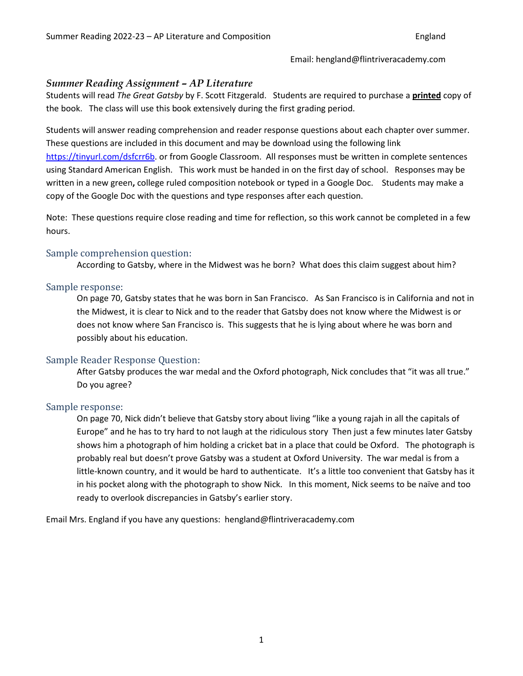Email: hengland@flintriveracademy.com

#### *Summer Reading Assignment – AP Literature*

Students will read *The Great Gatsby* by F. Scott Fitzgerald. Students are required to purchase a **printed** copy of the book. The class will use this book extensively during the first grading period.

Students will answer reading comprehension and reader response questions about each chapter over summer. These questions are included in this document and may be download using the following link [https://tinyurl.com/dsfcrr6b.](https://tinyurl.com/dsfcrr6b) or from Google Classroom. All responses must be written in complete sentences using Standard American English. This work must be handed in on the first day of school. Responses may be written in a new green**,** college ruled composition notebook or typed in a Google Doc. Students may make a copy of the Google Doc with the questions and type responses after each question.

Note: These questions require close reading and time for reflection, so this work cannot be completed in a few hours.

#### Sample comprehension question:

According to Gatsby, where in the Midwest was he born? What does this claim suggest about him?

#### Sample response:

On page 70, Gatsby states that he was born in San Francisco. As San Francisco is in California and not in the Midwest, it is clear to Nick and to the reader that Gatsby does not know where the Midwest is or does not know where San Francisco is. This suggests that he is lying about where he was born and possibly about his education.

#### Sample Reader Response Question:

After Gatsby produces the war medal and the Oxford photograph, Nick concludes that "it was all true." Do you agree?

#### Sample response:

On page 70, Nick didn't believe that Gatsby story about living "like a young rajah in all the capitals of Europe" and he has to try hard to not laugh at the ridiculous story Then just a few minutes later Gatsby shows him a photograph of him holding a cricket bat in a place that could be Oxford. The photograph is probably real but doesn't prove Gatsby was a student at Oxford University. The war medal is from a little-known country, and it would be hard to authenticate. It's a little too convenient that Gatsby has it in his pocket along with the photograph to show Nick. In this moment, Nick seems to be naïve and too ready to overlook discrepancies in Gatsby's earlier story.

Email Mrs. England if you have any questions: hengland@flintriveracademy.com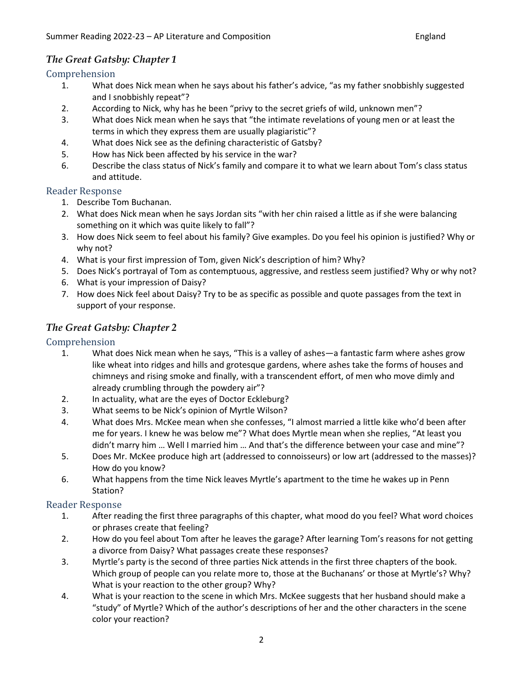### *The Great Gatsby: Chapter 1*

# Comprehension<br>1. What

- 1. What does Nick mean when he says about his father's advice, "as my father snobbishly suggested and I snobbishly repeat"?
- 2. According to Nick, why has he been "privy to the secret griefs of wild, unknown men"?
- 3. What does Nick mean when he says that "the intimate revelations of young men or at least the terms in which they express them are usually plagiaristic"?
- 4. What does Nick see as the defining characteristic of Gatsby?
- 5. How has Nick been affected by his service in the war?
- 6. Describe the class status of Nick's family and compare it to what we learn about Tom's class status and attitude.

#### Reader Response

- 1. Describe Tom Buchanan.
- 2. What does Nick mean when he says Jordan sits "with her chin raised a little as if she were balancing something on it which was quite likely to fall"?
- 3. How does Nick seem to feel about his family? Give examples. Do you feel his opinion is justified? Why or why not?
- 4. What is your first impression of Tom, given Nick's description of him? Why?
- 5. Does Nick's portrayal of Tom as contemptuous, aggressive, and restless seem justified? Why or why not?
- 6. What is your impression of Daisy?
- 7. How does Nick feel about Daisy? Try to be as specific as possible and quote passages from the text in support of your response.

### *The Great Gatsby: Chapter 2*

# Comprehension<br>1. What of

- What does Nick mean when he says, "This is a valley of ashes—a fantastic farm where ashes grow like wheat into ridges and hills and grotesque gardens, where ashes take the forms of houses and chimneys and rising smoke and finally, with a transcendent effort, of men who move dimly and already crumbling through the powdery air"?
- 2. In actuality, what are the eyes of Doctor Eckleburg?
- 3. What seems to be Nick's opinion of Myrtle Wilson?
- 4. What does Mrs. McKee mean when she confesses, "I almost married a little kike who'd been after me for years. I knew he was below me"? What does Myrtle mean when she replies, "At least you didn't marry him … Well I married him … And that's the difference between your case and mine"?
- 5. Does Mr. McKee produce high art (addressed to connoisseurs) or low art (addressed to the masses)? How do you know?
- 6. What happens from the time Nick leaves Myrtle's apartment to the time he wakes up in Penn Station?

## Reader Response<br>1. After rea

- After reading the first three paragraphs of this chapter, what mood do you feel? What word choices or phrases create that feeling?
- 2. How do you feel about Tom after he leaves the garage? After learning Tom's reasons for not getting a divorce from Daisy? What passages create these responses?
- 3. Myrtle's party is the second of three parties Nick attends in the first three chapters of the book. Which group of people can you relate more to, those at the Buchanans' or those at Myrtle's? Why? What is your reaction to the other group? Why?
- 4. What is your reaction to the scene in which Mrs. McKee suggests that her husband should make a "study" of Myrtle? Which of the author's descriptions of her and the other characters in the scene color your reaction?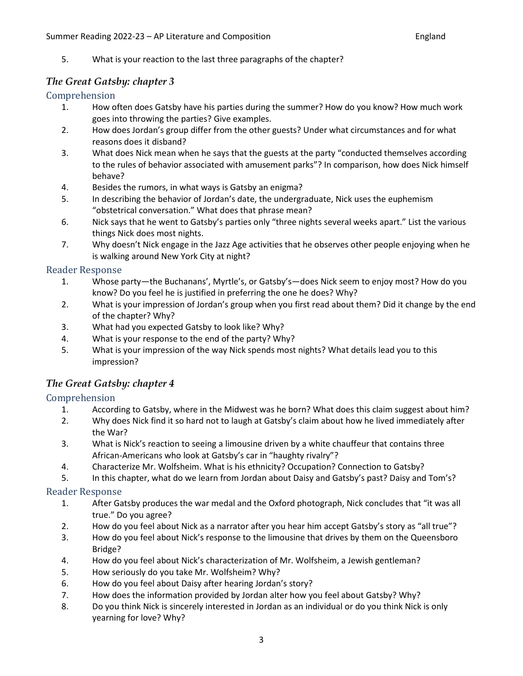5. What is your reaction to the last three paragraphs of the chapter?

### *The Great Gatsby: chapter 3*

## Comprehension<br>1. How o

- How often does Gatsby have his parties during the summer? How do you know? How much work goes into throwing the parties? Give examples.
- 2. How does Jordan's group differ from the other guests? Under what circumstances and for what reasons does it disband?
- 3. What does Nick mean when he says that the guests at the party "conducted themselves according to the rules of behavior associated with amusement parks"? In comparison, how does Nick himself behave?
- 4. Besides the rumors, in what ways is Gatsby an enigma?
- 5. In describing the behavior of Jordan's date, the undergraduate, Nick uses the euphemism "obstetrical conversation." What does that phrase mean?
- 6. Nick says that he went to Gatsby's parties only "three nights several weeks apart." List the various things Nick does most nights.
- 7. Why doesn't Nick engage in the Jazz Age activities that he observes other people enjoying when he is walking around New York City at night?

## Reader Response<br>1. Whose

- 1. Whose party—the Buchanans', Myrtle's, or Gatsby's—does Nick seem to enjoy most? How do you know? Do you feel he is justified in preferring the one he does? Why?
- 2. What is your impression of Jordan's group when you first read about them? Did it change by the end of the chapter? Why?
- 3. What had you expected Gatsby to look like? Why?
- 4. What is your response to the end of the party? Why?
- 5. What is your impression of the way Nick spends most nights? What details lead you to this impression?

#### *The Great Gatsby: chapter 4*

# Comprehension<br>1. Accord

- According to Gatsby, where in the Midwest was he born? What does this claim suggest about him?
- 2. Why does Nick find it so hard not to laugh at Gatsby's claim about how he lived immediately after the War?
- 3. What is Nick's reaction to seeing a limousine driven by a white chauffeur that contains three African-Americans who look at Gatsby's car in "haughty rivalry"?
- 4. Characterize Mr. Wolfsheim. What is his ethnicity? Occupation? Connection to Gatsby?
- 5. In this chapter, what do we learn from Jordan about Daisy and Gatsby's past? Daisy and Tom's?

### Reader Response<br>1. After Ga

- After Gatsby produces the war medal and the Oxford photograph, Nick concludes that "it was all true." Do you agree?
- 2. How do you feel about Nick as a narrator after you hear him accept Gatsby's story as "all true"?
- 3. How do you feel about Nick's response to the limousine that drives by them on the Queensboro Bridge?
- 4. How do you feel about Nick's characterization of Mr. Wolfsheim, a Jewish gentleman?
- 5. How seriously do you take Mr. Wolfsheim? Why?
- 6. How do you feel about Daisy after hearing Jordan's story?
- 7. How does the information provided by Jordan alter how you feel about Gatsby? Why?
- 8. Do you think Nick is sincerely interested in Jordan as an individual or do you think Nick is only yearning for love? Why?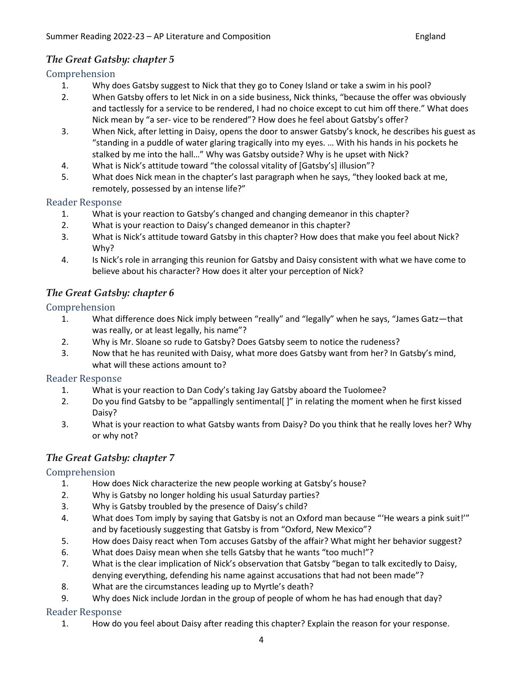### *The Great Gatsby: chapter 5*

# Comprehension<br>1. Why d

- 1. Why does Gatsby suggest to Nick that they go to Coney Island or take a swim in his pool?
- 2. When Gatsby offers to let Nick in on a side business, Nick thinks, "because the offer was obviously and tactlessly for a service to be rendered, I had no choice except to cut him off there." What does Nick mean by "a ser- vice to be rendered"? How does he feel about Gatsby's offer?
- 3. When Nick, after letting in Daisy, opens the door to answer Gatsby's knock, he describes his guest as "standing in a puddle of water glaring tragically into my eyes. … With his hands in his pockets he stalked by me into the hall…" Why was Gatsby outside? Why is he upset with Nick?
- 4. What is Nick's attitude toward "the colossal vitality of [Gatsby's] illusion"?
- 5. What does Nick mean in the chapter's last paragraph when he says, "they looked back at me, remotely, possessed by an intense life?"

# Reader Response<br>1. What is

- What is your reaction to Gatsby's changed and changing demeanor in this chapter?
- 2. What is your reaction to Daisy's changed demeanor in this chapter?
- 3. What is Nick's attitude toward Gatsby in this chapter? How does that make you feel about Nick? Why?
- 4. Is Nick's role in arranging this reunion for Gatsby and Daisy consistent with what we have come to believe about his character? How does it alter your perception of Nick?

### *The Great Gatsby: chapter 6*

# Comprehension<br>1. What

- What difference does Nick imply between "really" and "legally" when he says, "James Gatz-that was really, or at least legally, his name"?
- 2. Why is Mr. Sloane so rude to Gatsby? Does Gatsby seem to notice the rudeness?
- 3. Now that he has reunited with Daisy, what more does Gatsby want from her? In Gatsby's mind, what will these actions amount to?

## Reader Response<br>1. What is

- What is your reaction to Dan Cody's taking Jay Gatsby aboard the Tuolomee?
- 2. Do you find Gatsby to be "appallingly sentimental[ ]" in relating the moment when he first kissed Daisy?
- 3. What is your reaction to what Gatsby wants from Daisy? Do you think that he really loves her? Why or why not?

### *The Great Gatsby: chapter 7*

## Comprehension<br>1. How d

- How does Nick characterize the new people working at Gatsby's house?
- 2. Why is Gatsby no longer holding his usual Saturday parties?
- 3. Why is Gatsby troubled by the presence of Daisy's child?
- 4. What does Tom imply by saying that Gatsby is not an Oxford man because "'He wears a pink suit!'" and by facetiously suggesting that Gatsby is from "Oxford, New Mexico"?
- 5. How does Daisy react when Tom accuses Gatsby of the affair? What might her behavior suggest?
- 6. What does Daisy mean when she tells Gatsby that he wants "too much!"?
- 7. What is the clear implication of Nick's observation that Gatsby "began to talk excitedly to Daisy, denying everything, defending his name against accusations that had not been made"?
- 8. What are the circumstances leading up to Myrtle's death?
- 9. Why does Nick include Jordan in the group of people of whom he has had enough that day?

# Reader Response<br>1. How do

How do you feel about Daisy after reading this chapter? Explain the reason for your response.